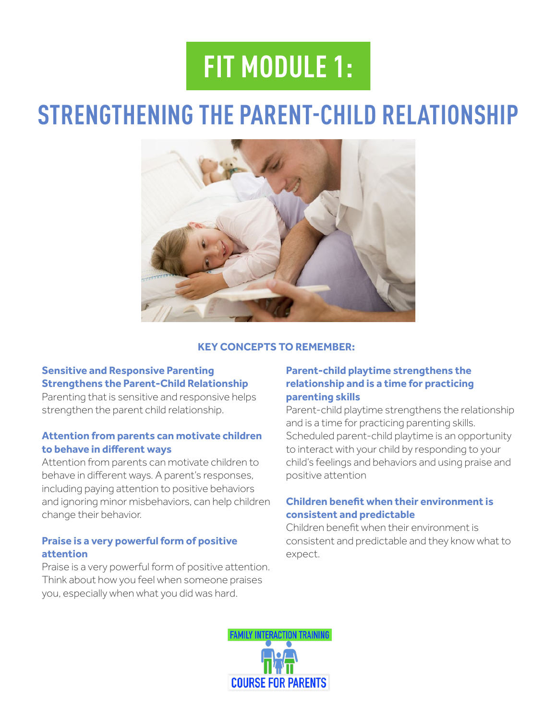# **FIT MODULE 1:**

# **STRENGTHENING THE PARENT-CHILD RELATIONSHIP**



#### **KEY CONCEPTS TO REMEMBER:**

## **Sensitive and Responsive Parenting Strengthens the Parent-Child Relationship**

Parenting that is sensitive and responsive helps strengthen the parent child relationship.

### **Attention from parents can motivate children to behave in diferent ways**

Attention from parents can motivate children to behave in diferent ways. A parent's responses, including paying attention to positive behaviors and ignoring minor misbehaviors, can help children change their behavior.

### **Praise is a very powerful form of positive attention**

Praise is a very powerful form of positive attention. Think about how you feel when someone praises you, especially when what you did was hard.

## **Parent-child playtime strengthens the relationship and is a time for practicing parenting skills**

Parent-child playtime strengthens the relationship and is a time for practicing parenting skills. Scheduled parent-child playtime is an opportunity to interact with your child by responding to your child's feelings and behaviors and using praise and positive attention

### **Children beneft when their environment is consistent and predictable**

Children beneft when their environment is consistent and predictable and they know what to expect.

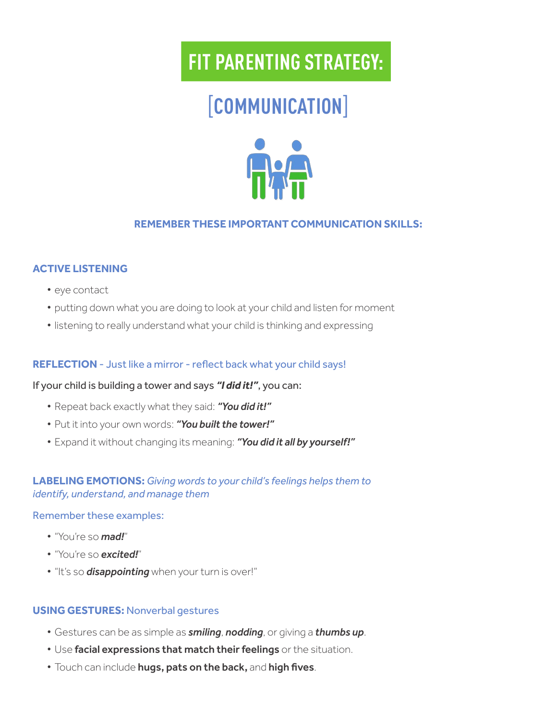# [**COMMUNICATION**]



## **REMEMBER THESE IMPORTANT COMMUNICATION SKILLS:**

### **ACTIVE LISTENING**

- eye contact
- putting down what you are doing to look at your child and listen for moment
- listening to really understand what your child is thinking and expressing

### **REFLECTION** - Just like a mirror - refect back what your child says!

### If your child is building a tower and says *"I did it!"*, you can:

- Repeat back exactly what they said: *"You did it!"*
- Put it into your own words: *"You built the tower!"*
- Expand it without changing its meaning: *"You did it all by yourself!"*

## **LABELING EMOTIONS:** *Giving words to your child's feelings helps them to identify, understand, and manage them*

#### Remember these examples:

- "You're so *mad!*"
- "You're so *excited!*"
- "It's so *disappointing* when your turn is over!"

### **USING GESTURES:** Nonverbal gestures

- Gestures can be as simple as *smiling*, *nodding*, or giving a *thumbs up*.
- Use facial expressions that match their feelings or the situation.
- **Touch can include hugs, pats on the back, and high fives.**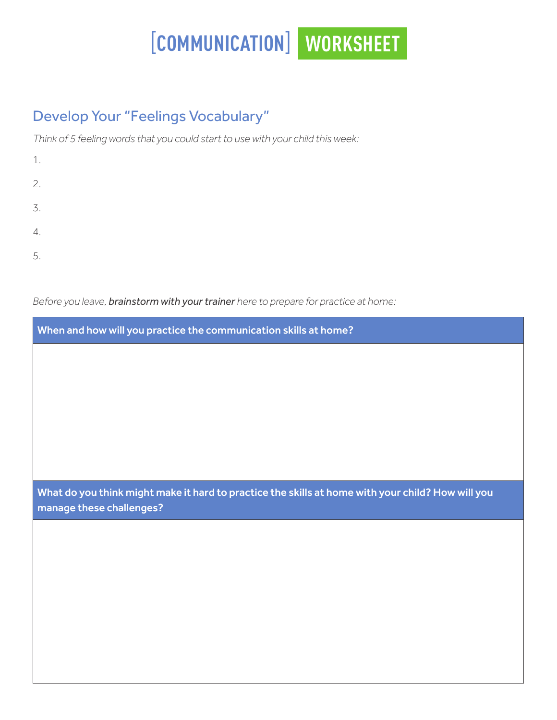# [**COMMUNICATION**] **WORKSHEET**

# Develop Your "Feelings Vocabulary"

*Think of 5 feeling words that you could start to use with your child this week:*

| 1. |  |  |  |
|----|--|--|--|
| 2. |  |  |  |
| 3. |  |  |  |
| 4. |  |  |  |
| 5. |  |  |  |

*Before you leave, brainstorm with your trainer here to prepare for practice at home:*

| When and how will you practice the communication skills at home?                                                              |
|-------------------------------------------------------------------------------------------------------------------------------|
|                                                                                                                               |
|                                                                                                                               |
|                                                                                                                               |
|                                                                                                                               |
|                                                                                                                               |
|                                                                                                                               |
| What do you think might make it hard to practice the skills at home with your child? How will you<br>manage these challenges? |
|                                                                                                                               |
|                                                                                                                               |
|                                                                                                                               |
|                                                                                                                               |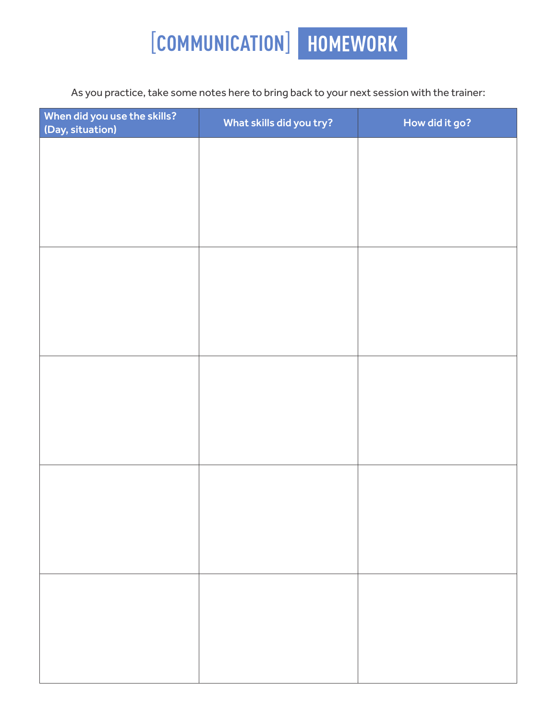# [**COMMUNICATION**] **HOMEWORK**

As you practice, take some notes here to bring back to your next session with the trainer:

| When did you use the skills?<br>(Day, situation) | What skills did you try? | How did it go? |
|--------------------------------------------------|--------------------------|----------------|
|                                                  |                          |                |
|                                                  |                          |                |
|                                                  |                          |                |
|                                                  |                          |                |
|                                                  |                          |                |
|                                                  |                          |                |
|                                                  |                          |                |
|                                                  |                          |                |
|                                                  |                          |                |
|                                                  |                          |                |
|                                                  |                          |                |
|                                                  |                          |                |
|                                                  |                          |                |
|                                                  |                          |                |
|                                                  |                          |                |
|                                                  |                          |                |
|                                                  |                          |                |
|                                                  |                          |                |
|                                                  |                          |                |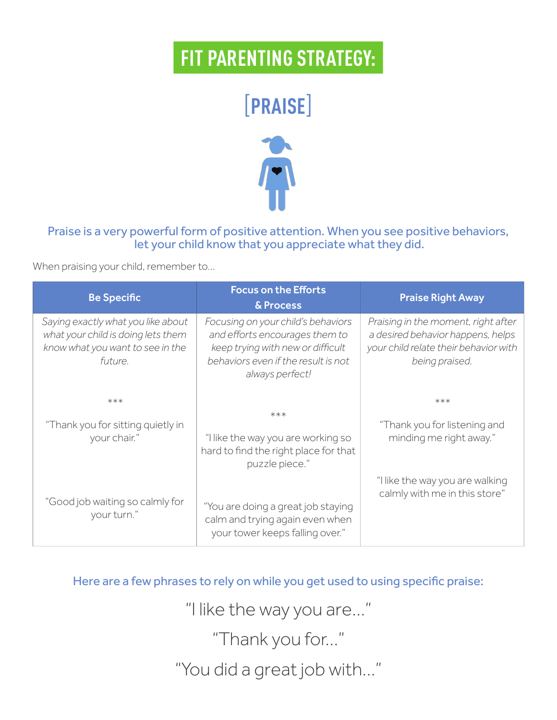# [**PRAISE**]



## Praise is a very powerful form of positive attention. When you see positive behaviors, let your child know that you appreciate what they did.

When praising your child, remember to…

| <b>Be Specific</b>                                                                                                      | <b>Focus on the Efforts</b><br>& Process                                                                                                                            | <b>Praise Right Away</b>                                                                                                            |
|-------------------------------------------------------------------------------------------------------------------------|---------------------------------------------------------------------------------------------------------------------------------------------------------------------|-------------------------------------------------------------------------------------------------------------------------------------|
| Saying exactly what you like about<br>what your child is doing lets them<br>know what you want to see in the<br>future. | Focusing on your child's behaviors<br>and efforts encourages them to<br>keep trying with new or difficult<br>behaviors even if the result is not<br>always perfect! | Praising in the moment, right after<br>a desired behavior happens, helps<br>your child relate their behavior with<br>being praised. |
| $***$                                                                                                                   |                                                                                                                                                                     | $***$                                                                                                                               |
| "Thank you for sitting quietly in<br>your chair."                                                                       | $***$<br>"I like the way you are working so<br>hard to find the right place for that<br>puzzle piece."                                                              | "Thank you for listening and<br>minding me right away."                                                                             |
| "Good job waiting so calmly for<br>your turn."                                                                          | "You are doing a great job staying<br>calm and trying again even when<br>your tower keeps falling over."                                                            | "I like the way you are walking<br>calmly with me in this store"                                                                    |

Here are a few phrases to rely on while you get used to using specifc praise:

"I like the way you are…"

"Thank you for…"

"You did a great job with…"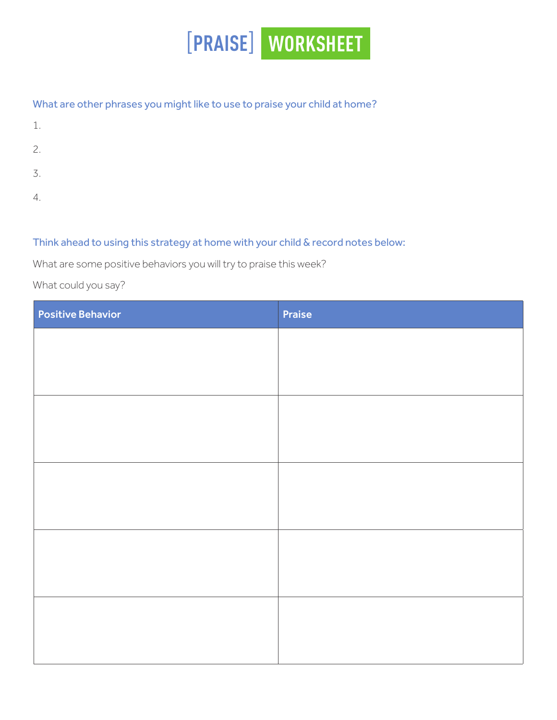

## What are other phrases you might like to use to praise your child at home?

- 1.
- 2.
- 3.
- 4.

## Think ahead to using this strategy at home with your child & record notes below:

What are some positive behaviors you will try to praise this week?

What could you say?

| <b>Positive Behavior</b> | Praise |
|--------------------------|--------|
|                          |        |
|                          |        |
|                          |        |
|                          |        |
|                          |        |
|                          |        |
|                          |        |
|                          |        |
|                          |        |
|                          |        |
|                          |        |
|                          |        |
|                          |        |
|                          |        |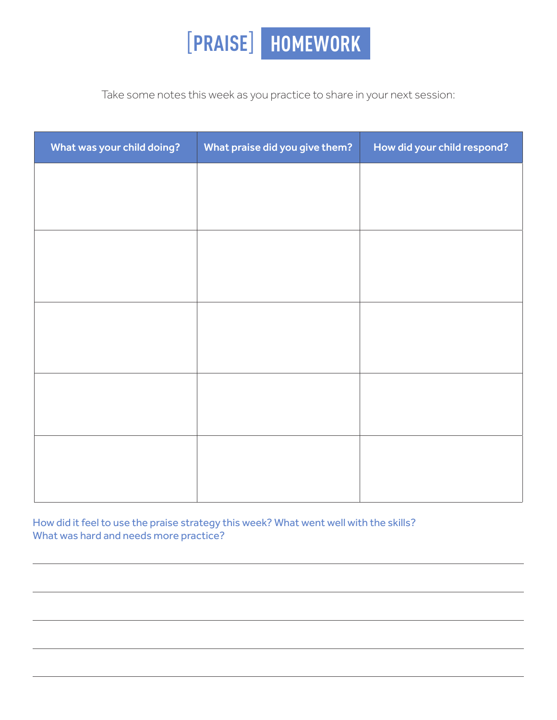

Take some notes this week as you practice to share in your next session:

| What was your child doing? | What praise did you give them? | How did your child respond? |
|----------------------------|--------------------------------|-----------------------------|
|                            |                                |                             |
|                            |                                |                             |
|                            |                                |                             |
|                            |                                |                             |
|                            |                                |                             |
|                            |                                |                             |
|                            |                                |                             |
|                            |                                |                             |
|                            |                                |                             |
|                            |                                |                             |
|                            |                                |                             |

How did it feel to use the praise strategy this week? What went well with the skills? What was hard and needs more practice?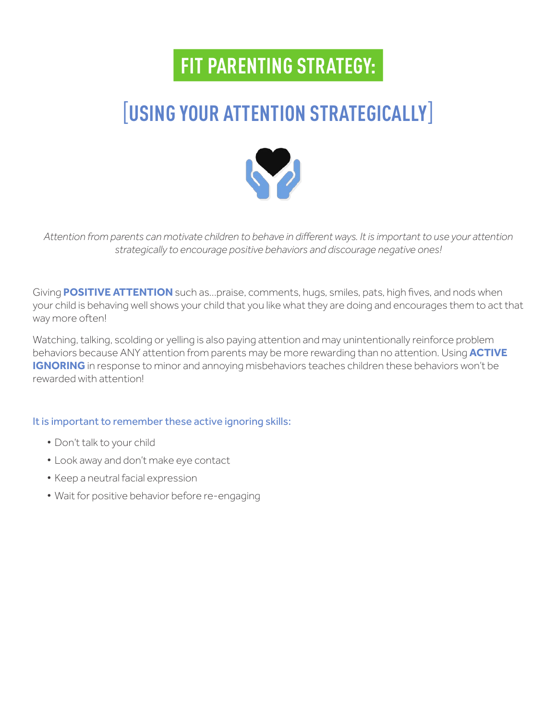# [**USING YOUR ATTENTION STRATEGICALLY**]



*Attention from parents can motivate children to behave in diferent ways. It is important to use your attention strategically to encourage positive behaviors and discourage negative ones!* 

Giving **POSITIVE ATTENTION** such as…praise, comments, hugs, smiles, pats, high fves, and nods when your child is behaving well shows your child that you like what they are doing and encourages them to act that way more often!

Watching, talking, scolding or yelling is also paying attention and may unintentionally reinforce problem behaviors because ANY attention from parents may be more rewarding than no attention. Using **ACTIVE IGNORING** in response to minor and annoying misbehaviors teaches children these behaviors won't be rewarded with attention!

## It is important to remember these active ignoring skills:

- Don't talk to your child
- Look away and don't make eye contact
- Keep a neutral facial expression
- Wait for positive behavior before re-engaging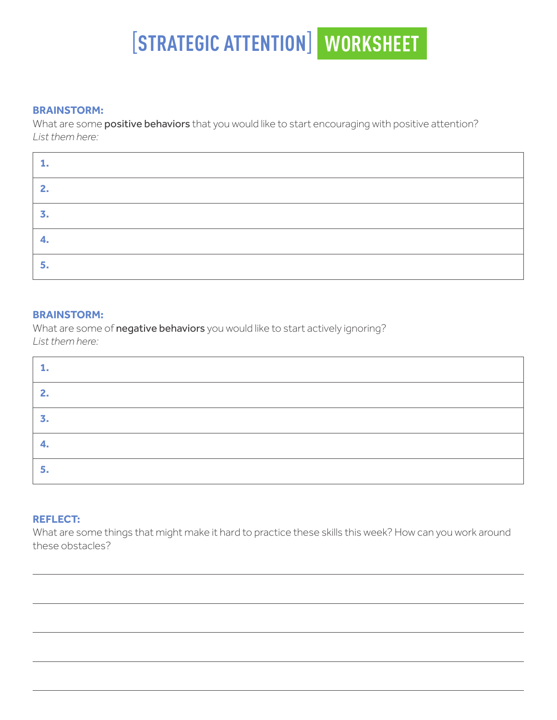# [**STRATEGIC ATTENTION**] **WORKSHEET**

#### **BRAINSTORM:**

What are some positive behaviors that you would like to start encouraging with positive attention? *List them here:*

| . . |  |
|-----|--|
|     |  |
|     |  |
| 5.  |  |

#### **BRAINSTORM:**

What are some of **negative behaviors** you would like to start actively ignoring? *List them here:*

| 2<br>. . |  |
|----------|--|
|          |  |
| ⊷.       |  |
|          |  |

#### **REFLECT:**

What are some things that might make it hard to practice these skills this week? How can you work around these obstacles?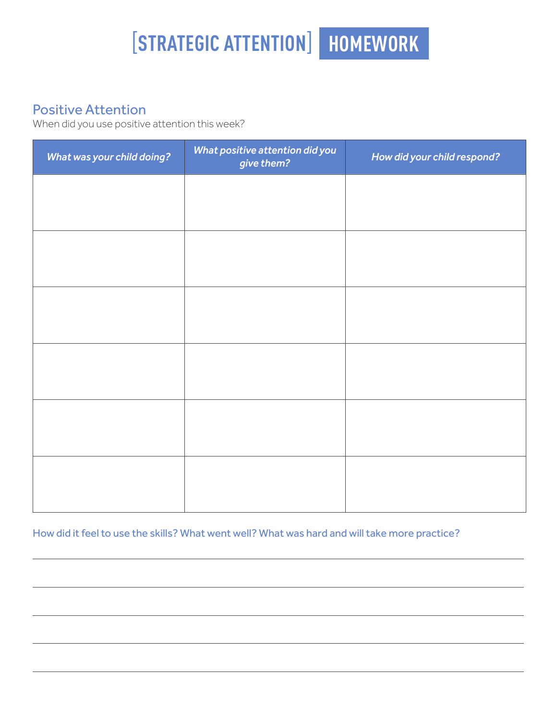# [**STRATEGIC ATTENTION**] **HOMEWORK**

# Positive Attention

When did you use positive attention this week?

| What was your child doing? | What positive attention did you<br>give them? | How did your child respond? |
|----------------------------|-----------------------------------------------|-----------------------------|
|                            |                                               |                             |
|                            |                                               |                             |
|                            |                                               |                             |
|                            |                                               |                             |
|                            |                                               |                             |
|                            |                                               |                             |
|                            |                                               |                             |
|                            |                                               |                             |
|                            |                                               |                             |
|                            |                                               |                             |
|                            |                                               |                             |
|                            |                                               |                             |

How did it feel to use the skills? What went well? What was hard and will take more practice?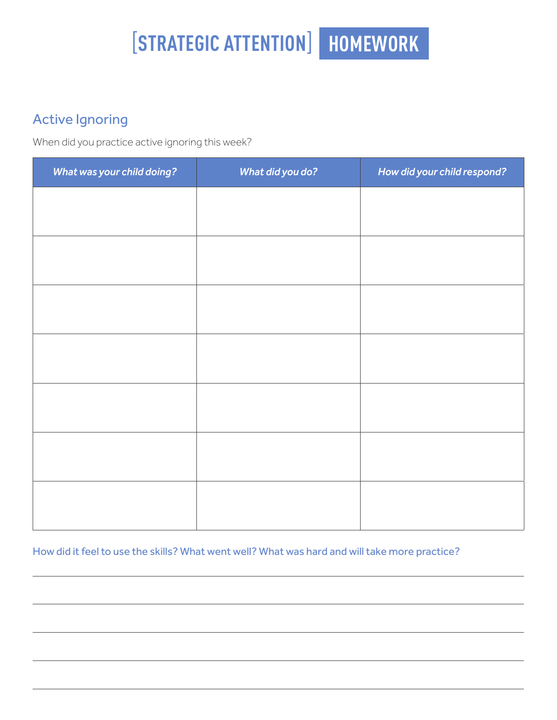# [**STRATEGIC ATTENTION**] **HOMEWORK**

# Active Ignoring

When did you practice active ignoring this week?

| What was your child doing? | What did you do? | How did your child respond? |
|----------------------------|------------------|-----------------------------|
|                            |                  |                             |
|                            |                  |                             |
|                            |                  |                             |
|                            |                  |                             |
|                            |                  |                             |
|                            |                  |                             |
|                            |                  |                             |
|                            |                  |                             |
|                            |                  |                             |
|                            |                  |                             |
|                            |                  |                             |
|                            |                  |                             |
|                            |                  |                             |
|                            |                  |                             |

How did it feel to use the skills? What went well? What was hard and will take more practice?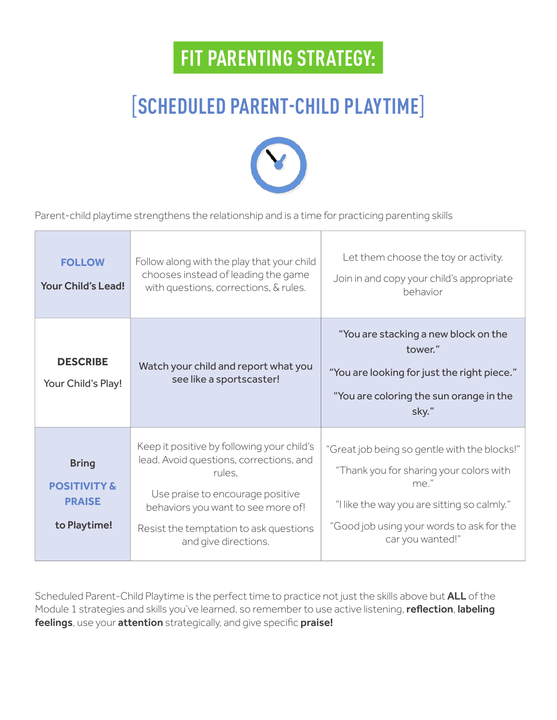# [**SCHEDULED PARENT-CHILD PLAYTIME**]



Parent-child playtime strengthens the relationship and is a time for practicing parenting skills

| <b>FOLLOW</b><br><b>Your Child's Lead!</b>                               | Follow along with the play that your child<br>chooses instead of leading the game<br>with questions, corrections, & rules.                                                                                                                  | Let them choose the toy or activity.<br>Join in and copy your child's appropriate<br>behavior                                                                                                                   |
|--------------------------------------------------------------------------|---------------------------------------------------------------------------------------------------------------------------------------------------------------------------------------------------------------------------------------------|-----------------------------------------------------------------------------------------------------------------------------------------------------------------------------------------------------------------|
| <b>DESCRIBE</b><br>Your Child's Play!                                    | Watch your child and report what you<br>see like a sportscaster!                                                                                                                                                                            | "You are stacking a new block on the<br>tower."<br>"You are looking for just the right piece."<br>"You are coloring the sun orange in the<br>sky."                                                              |
| <b>Bring</b><br><b>POSITIVITY &amp;</b><br><b>PRAISE</b><br>to Playtime! | Keep it positive by following your child's<br>lead. Avoid questions, corrections, and<br>rules.<br>Use praise to encourage positive<br>behaviors you want to see more of!<br>Resist the temptation to ask questions<br>and give directions. | "Great job being so gentle with the blocks!"<br>"Thank you for sharing your colors with<br>me."<br>"I like the way you are sitting so calmly."<br>"Good job using your words to ask for the<br>car you wanted!" |

Scheduled Parent-Child Playtime is the perfect time to practice not just the skills above but ALL of the Module 1 strategies and skills you've learned, so remember to use active listening, reflection, labeling feelings, use your attention strategically, and give specific praise!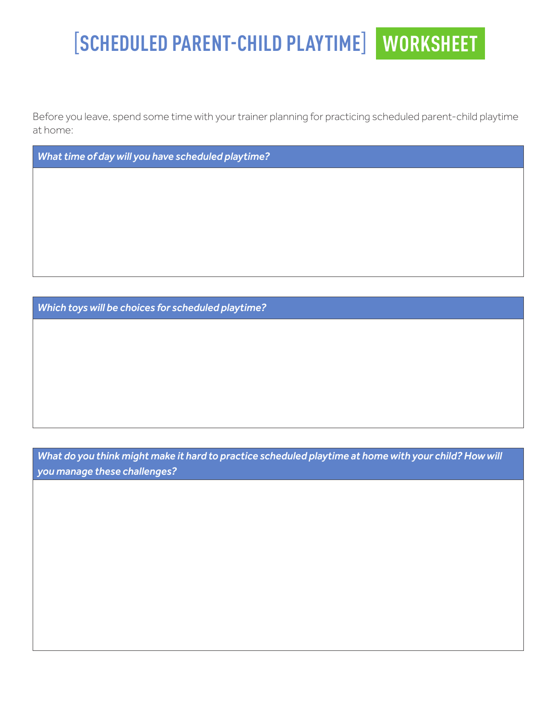# [**SCHEDULED PARENT-CHILD PLAYTIME**] **WORKSHEET**

Before you leave, spend some time with your trainer planning for practicing scheduled parent-child playtime at home:

*What time of day will you have scheduled playtime?* 

*Which toys will be choices for scheduled playtime?* 

*What do you think might make it hard to practice scheduled playtime at home with your child? How will you manage these challenges?*